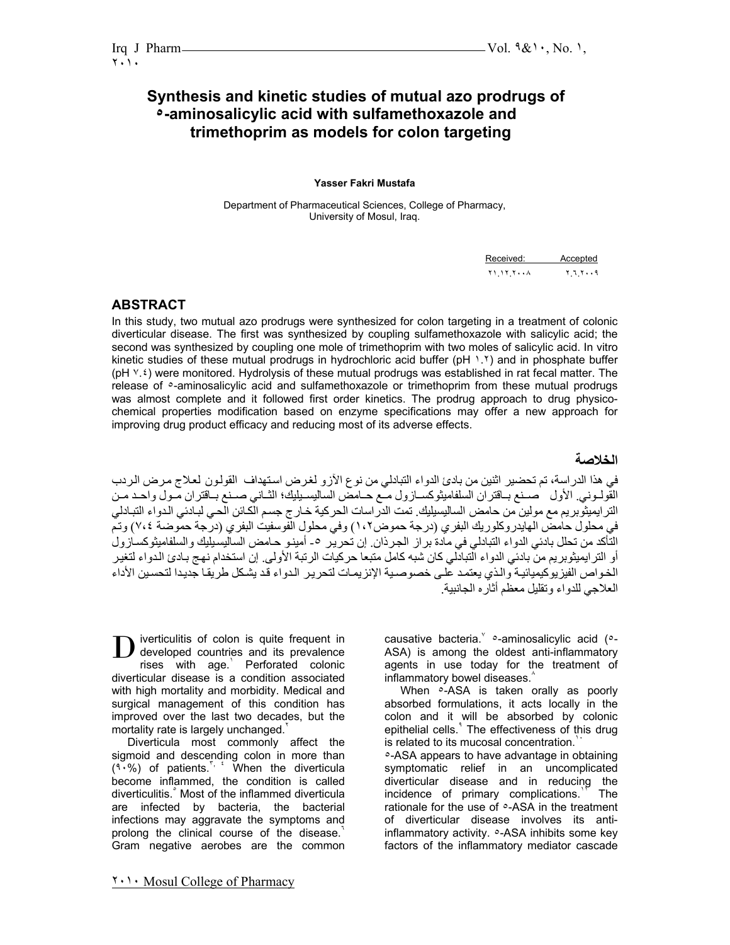# **Synthesis and kinetic studies of mutual azo prodrugs of ٥-aminosalicylic acid with sulfamethoxazole and trimethoprim as models for colon targeting**

#### **Yasser Fakri Mustafa**

Department of Pharmaceutical Sciences, College of Pharmacy, University of Mosul, Iraq.

Received: Accepted ٢١.١٢.٢٠٠٨ ٢.٦.٢٠٠٩

# **ABSTRACT**

In this study, two mutual azo prodrugs were synthesized for colon targeting in a treatment of colonic diverticular disease. The first was synthesized by coupling sulfamethoxazole with salicylic acid; the second was synthesized by coupling one mole of trimethoprim with two moles of salicylic acid. In vitro kinetic studies of these mutual prodrugs in hydrochloric acid buffer (pH 1.1) and in phosphate buffer (pH ٧.٤) were monitored. Hydrolysis of these mutual prodrugs was established in rat fecal matter. The release of ٥-aminosalicylic acid and sulfamethoxazole or trimethoprim from these mutual prodrugs was almost complete and it followed first order kinetics. The prodrug approach to drug physicochemical properties modification based on enzyme specifications may offer a new approach for improving drug product efficacy and reducing most of its adverse effects.

# **الخلاصة**

في هذا الدراسة، تم تحضير اثنين من بادئ الدواء التبادلي من نوع الآزو لغرض استهداف القولون لعلاج مرض الردب القولــونـي. الأول مصـنع بـاقتران السلفاميثوكسـازول مـّع حـامض الساليسـيليك؛ الثـاني صـنـع بـاقتران مـول واحـد مـن الترايميثوبريم مع مولين من حامض الساليسيليك. تمت الدراسات الحركية خارج جسم الكائن الحـي لبـادئي الـدواء التبـادلي في محلول حامض الهايدروكلوريك البفري (درجة حموض١،٢) وفي محلول الفوسفيت البفري (درجة حموضة ٧،٤) وتم التَّأكد من تحلل بادئي الدواء التبادلي في مادة براز الجردان. إن تحرير -٥ أمينو حامض الساليسيليك والسلفاميثوكسازول أو الترايميثوبريم من بادئي الدواء التبادلي كان شبه كامل متبعا حركيات الرتبة الأولى. إن استخدام نهج بـادئ الدواء لتغير الخواص الفيزيوكيميائيـة والذي يعتمد على خصوصية الإنزيمـات لتحرير الدواء قد يشكل طريقا جديدا لتحسين الأداء العلاجي للدواء وتقليل معظم أثاره الجانبية.

iverticulitis of colon is quite frequent in developed countries and its prevalence rises with age. Perforated colonic diverticular disease is a condition associated with high mortality and morbidity. Medical and surgical management of this condition has improved over the last two decades, but the mortality rate is largely unchanged. D

 Diverticula most commonly affect the sigmoid and descending colon in more than  $(1.9)$  of patients.<sup>7, 2</sup> When the diverticula become inflammed, the condition is called diverticulitis. Most of the inflammed diverticula are infected by bacteria, the bacterial infections may aggravate the symptoms and prolong the clinical course of the disease.<sup>7</sup> Gram negative aerobes are the common

causative bacteria.  $\circ$ -aminosalicylic acid ( $\circ$ -ASA) is among the oldest anti-inflammatory agents in use today for the treatment of inflammatory bowel diseases.

When  $\circ$ -ASA is taken orally as poorly absorbed formulations, it acts locally in the colon and it will be absorbed by colonic epithelial cells.<sup>4</sup> The effectiveness of this drug is related to its mucosal concentration.

٥-ASA appears to have advantage in obtaining symptomatic relief in an uncomplicated diverticular disease and in reducing the incidence of primary complications.<sup>11</sup> The rationale for the use of ٥-ASA in the treatment of diverticular disease involves its antiinflammatory activity.  $\circ$ -ASA inhibits some key factors of the inflammatory mediator cascade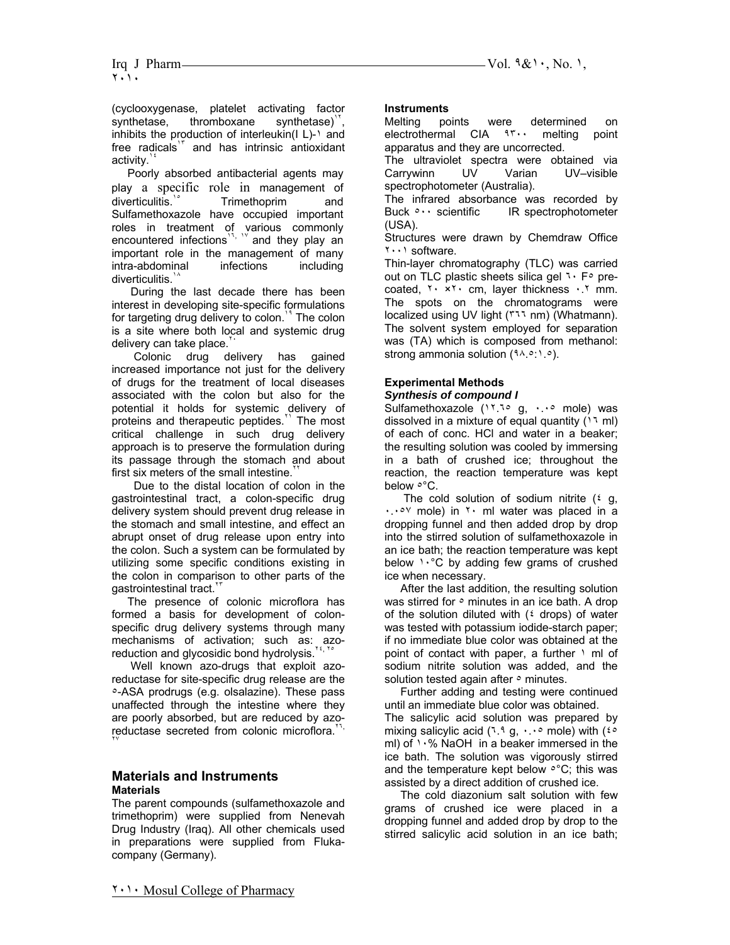(cyclooxygenase, platelet activating factor synthetase, thromboxane synthetase), inhibits the production of interleukin(I  $L$ )-1 and free radicals<sup>1</sup> and has intrinsic antioxidant activity.

 Poorly absorbed antibacterial agents may play a specific role in management of diverticulitis.<sup>1</sup> Trimethoprim and Sulfamethoxazole have occupied important roles in treatment of various commonly encountered infections<sup>11, 18</sup> and they play an important role in the management of many intra-abdominal infections including diverticulitis.

 During the last decade there has been interest in developing site-specific formulations for targeting drug delivery to colon.<sup>18</sup> The colon is a site where both local and systemic drug delivery can take place.

 Colonic drug delivery has gained increased importance not just for the delivery of drugs for the treatment of local diseases associated with the colon but also for the potential it holds for systemic delivery of proteins and therapeutic peptides.<sup>"</sup> The most critical challenge in such drug delivery approach is to preserve the formulation during its passage through the stomach and about first six meters of the small intestine.

 Due to the distal location of colon in the gastrointestinal tract, a colon-specific drug delivery system should prevent drug release in the stomach and small intestine, and effect an abrupt onset of drug release upon entry into the colon. Such a system can be formulated by utilizing some specific conditions existing in the colon in comparison to other parts of the qastrointestinal tract.

 The presence of colonic microflora has formed a basis for development of colonspecific drug delivery systems through many mechanisms of activation; such as: azoreduction and glycosidic bond hydrolysis.

 Well known azo-drugs that exploit azoreductase for site-specific drug release are the ٥-ASA prodrugs (e.g. olsalazine). These pass unaffected through the intestine where they are poorly absorbed, but are reduced by azoreductase secreted from colonic microflora. ٢٧

### **Materials and Instruments Materials**

The parent compounds (sulfamethoxazole and trimethoprim) were supplied from Nenevah Drug Industry (Iraq). All other chemicals used in preparations were supplied from Flukacompany (Germany).

#### **Instruments**

Melting points were determined on electrothermal CIA ٩٣٠٠ melting point apparatus and they are uncorrected.

The ultraviolet spectra were obtained via Carrywinn UV Varian UV–visible spectrophotometer (Australia).

The infrared absorbance was recorded by Buck <sup>o.</sup> scientific IR spectrophotometer (USA).

Structures were drawn by Chemdraw Office ٢٠٠١ software.

Thin-layer chromatography (TLC) was carried out on TLC plastic sheets silica gel ٦٠ F ° precoated,  $\mathbf{r} \cdot \mathbf{x} \cdot \mathbf{c}$  cm, layer thickness  $\cdot \mathbf{r}$  mm. The spots on the chromatograms were localized using UV light (٣٦٦ nm) (Whatmann). The solvent system employed for separation was (TA) which is composed from methanol: strong ammonia solution (٩٨.٥: ١.٥).

# **Experimental Methods**

#### *Synthesis of compound I*

Sulfamethoxazole (١٢.٦٥ g, ٠.٠٥ mole) was dissolved in a mixture of equal quantity  $(17 \text{ ml})$ of each of conc. HCl and water in a beaker; the resulting solution was cooled by immersing in a bath of crushed ice; throughout the reaction, the reaction temperature was kept below °°C.

The cold solution of sodium nitrite  $(2, 9)$ , ٠.٠٥٧ mole) in ٢٠ ml water was placed in a dropping funnel and then added drop by drop into the stirred solution of sulfamethoxazole in an ice bath; the reaction temperature was kept below  $1.8^{\circ}$ C by adding few grams of crushed ice when necessary.

 After the last addition, the resulting solution was stirred for  $\circ$  minutes in an ice bath. A drop of the solution diluted with  $(2 \text{ drops})$  of water was tested with potassium iodide-starch paper; if no immediate blue color was obtained at the point of contact with paper, a further  $\rightarrow$  ml of sodium nitrite solution was added, and the solution tested again after  $\circ$  minutes.

 Further adding and testing were continued until an immediate blue color was obtained. The salicylic acid solution was prepared by mixing salicylic acid  $(7.9 \text{ g}, \cdots \text{ o} \text{ mole})$  with  $(20 \text{ g})$ ml) of  $1.8$  NaOH in a beaker immersed in the ice bath. The solution was vigorously stirred and the temperature kept below  $\circ^{\circ}C$ ; this was

assisted by a direct addition of crushed ice. The cold diazonium salt solution with few grams of crushed ice were placed in a dropping funnel and added drop by drop to the stirred salicylic acid solution in an ice bath;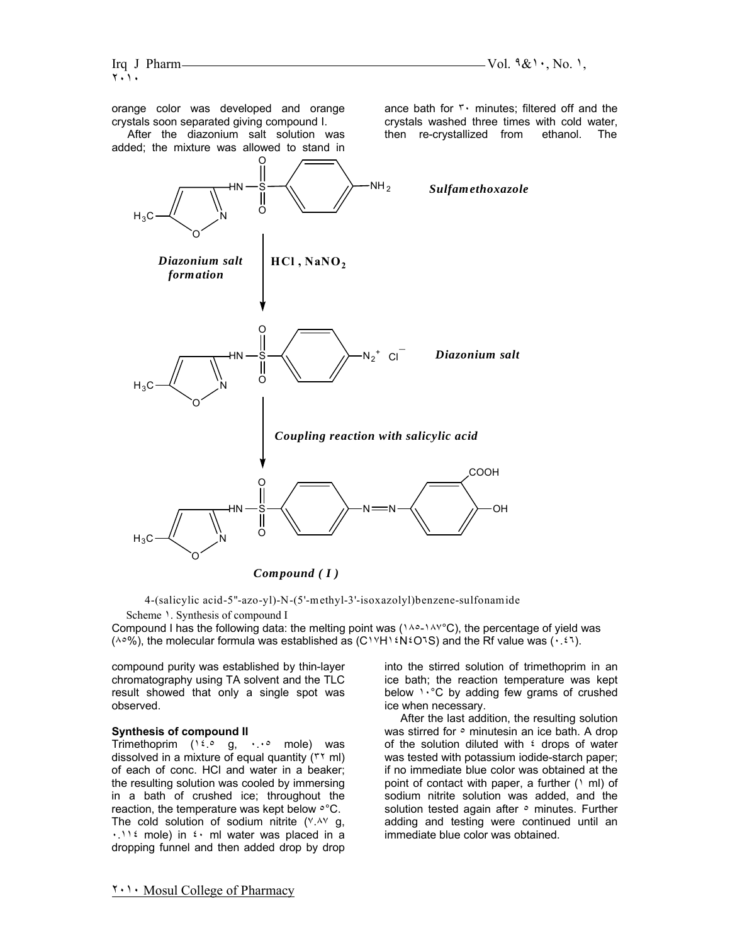orange color was developed and orange crystals soon separated giving compound I. After the diazonium salt solution was added; the mixture was allowed to stand in ance bath for ٣٠ minutes; filtered off and the crystals washed three times with cold water, then re-crystallized from ethanol. The  $NH<sub>2</sub>$ O  $\Omega$ HN O  $H_3C \longrightarrow \bigvee$  N *Sulfamethoxazole Diazonium salt* | HCl, NaNO<sub>2</sub>  *formation* S O O HN O  $H<sub>2</sub>$ Cl  $Diazonium$  salt + *Coupling reaction with salicylic acid* S O O HN O  $H_3$ N N OH COOH *Compound ( I )*

4-(salicylic acid-5''-azo-yl)-N-(5'-methyl-3'-isoxazolyl)benzene-sulfonamide

Scheme 1. Synthesis of compound I

Compound I has the following data: the melting point was (١٨٥-١٨٧°C), the percentage of yield was  $(\wedge \circ \%)$ , the molecular formula was established as  $(C \vee H \vee E \vee C \vee S)$  and the Rf value was  $(\cdot, \in I)$ .

compound purity was established by thin-layer chromatography using TA solvent and the TLC result showed that only a single spot was observed.

#### **Synthesis of compound II**

Trimethoprim (١٤.٥ g, ٠.٠٥ mole) was dissolved in a mixture of equal quantity (٣٢ ml) of each of conc. HCl and water in a beaker; the resulting solution was cooled by immersing in a bath of crushed ice; throughout the reaction, the temperature was kept below ٥°C. The cold solution of sodium nitrite  $(Y, \Lambda^V, g)$ ,  $\cdot$ . 11  $\epsilon$  mole) in  $\epsilon$   $\cdot$  ml water was placed in a dropping funnel and then added drop by drop into the stirred solution of trimethoprim in an ice bath; the reaction temperature was kept below  $1.8^{\circ}$ C by adding few grams of crushed ice when necessary.

 After the last addition, the resulting solution was stirred for  $\circ$  minutesin an ice bath. A drop of the solution diluted with  $\epsilon$  drops of water was tested with potassium iodide-starch paper; if no immediate blue color was obtained at the point of contact with paper, a further (1 ml) of sodium nitrite solution was added, and the solution tested again after  $\circ$  minutes. Further adding and testing were continued until an immediate blue color was obtained.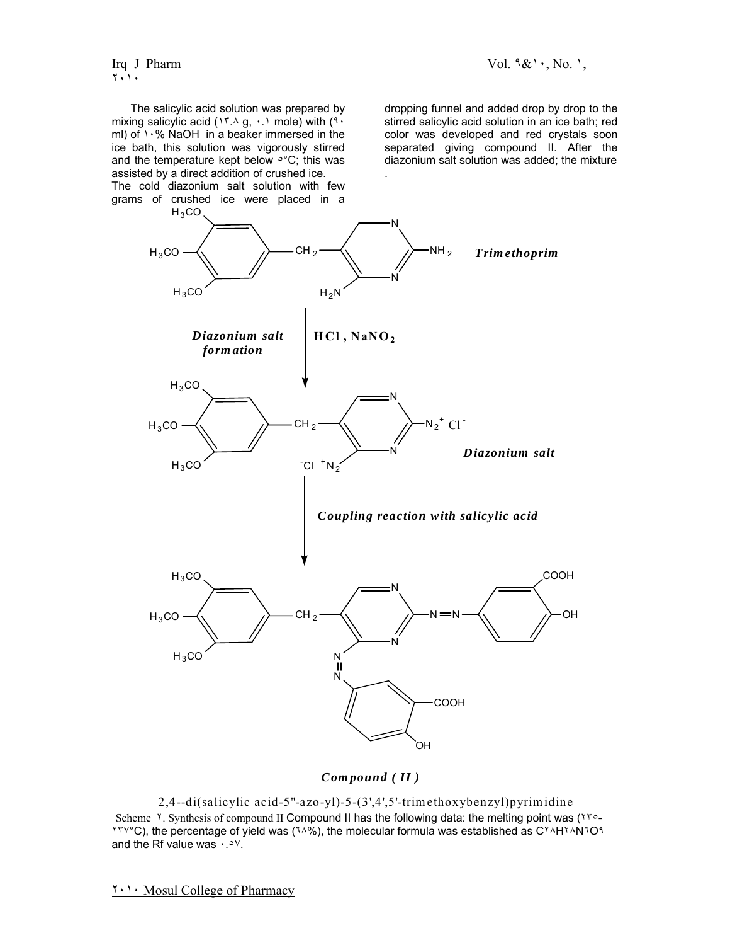The salicylic acid solution was prepared by mixing salicylic acid ( $15.4$  g,  $11.1$  mole) with  $(3.1)$ ml) of  $1.8$  NaOH in a beaker immersed in the ice bath, this solution was vigorously stirred and the temperature kept below  $\circ$ °C; this was assisted by a direct addition of crushed ice. The cold diazonium salt solution with few grams of crushed ice were placed in a

dropping funnel and added drop by drop to the stirred salicylic acid solution in an ice bath; red color was developed and red crystals soon separated giving compound II. After the diazonium salt solution was added; the mixture .



## *Compound ( II )*

2,4--di(salicylic acid-5''-azo-yl)-5-(3',4',5'-trim ethoxybenzyl)pyrim idine Scheme ٢. Synthesis of compound II Compound II has the following data: the melting point was (٢٣٥- ٢٣٧°C), the percentage of yield was (٦٨%), the molecular formula was established as C٢٨H٢٨N٦O٩ and the Rf value was ٠.٥٧.

٢٠١٠ Mosul College of Pharmacy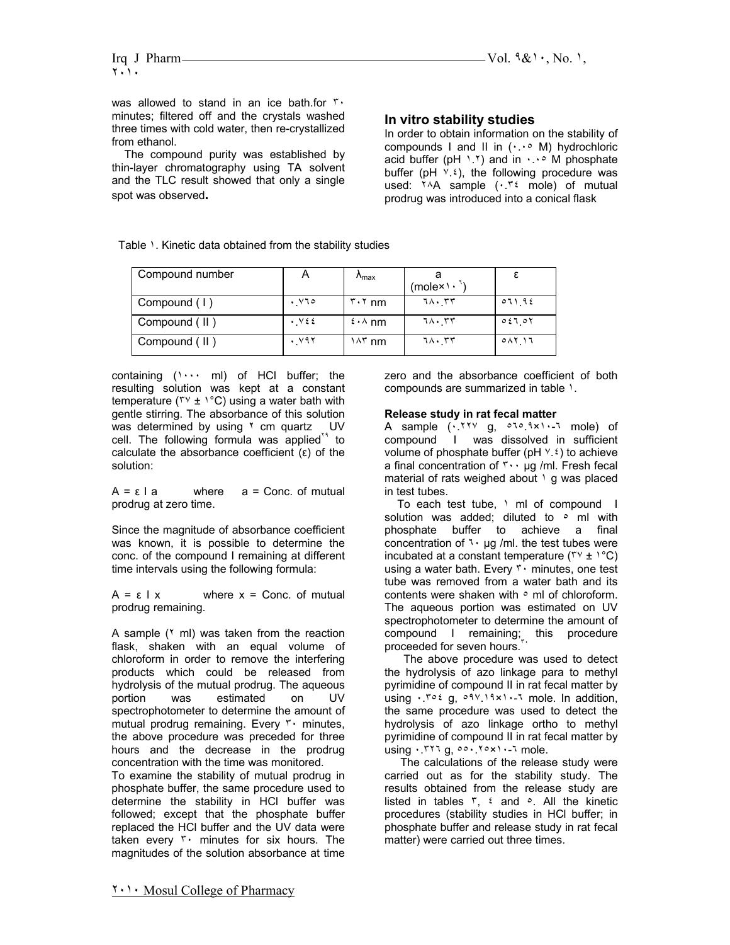was allowed to stand in an ice bath.for ٣٠ minutes; filtered off and the crystals washed three times with cold water, then re-crystallized from ethanol.

 The compound purity was established by thin-layer chromatography using TA solvent and the TLC result showed that only a single spot was observed**.** 

## **In vitro stability studies**

In order to obtain information on the stability of compounds I and II in (٠.٠٥ M) hydrochloric acid buffer (pH  $\cdot$ ,  $\cdot$ ) and in  $\cdot$ ,  $\cdot$  M phosphate buffer (pH  $\sqrt{2}$ , the following procedure was used: ٢٨A sample (٠.٣٤ mole) of mutual prodrug was introduced into a conical flask

Table 1. Kinetic data obtained from the stability studies

| Compound number |                | $\Lambda_{\text{max}}$               | (mole $x \wedge$ |                           |
|-----------------|----------------|--------------------------------------|------------------|---------------------------|
| Compound (1)    | $. \vee \circ$ | $\mathbf{r} \cdot \mathbf{r}$ nm     | ۳۳. ۲۰           | 071.92                    |
| Compound (II)   | $\cdot$ Y E E  | $\mathfrak{t} \cdot \mathfrak{h}$ nm | ۳۳. ۱۸۰          | $0.51$ $\circ$ $\uparrow$ |
| Compound (II)   | . 197          | ነላፕ nm                               | ٦٨٠ ٣٣           | 0AT.17                    |

containing (١٠٠٠ ml) of HCl buffer; the resulting solution was kept at a constant temperature ( $\forall x \pm 1^\circ C$ ) using a water bath with gentle stirring. The absorbance of this solution was determined by using <sup>Y</sup> cm quartz UV cell. The following formula was applied<sup>14</sup> to calculate the absorbance coefficient  $(\epsilon)$  of the solution:

 $A = \varepsilon$  a where  $a =$  Conc. of mutual prodrug at zero time.

Since the magnitude of absorbance coefficient was known, it is possible to determine the conc. of the compound I remaining at different time intervals using the following formula:

 $A = \varepsilon \mid x$  where  $x =$  Conc. of mutual prodrug remaining.

A sample (<sup> $\tau$ </sup> ml) was taken from the reaction flask, shaken with an equal volume of chloroform in order to remove the interfering products which could be released from hydrolysis of the mutual prodrug. The aqueous portion was estimated on UV spectrophotometer to determine the amount of mutual prodrug remaining. Every ٣٠ minutes, the above procedure was preceded for three hours and the decrease in the prodrug concentration with the time was monitored.

To examine the stability of mutual prodrug in phosphate buffer, the same procedure used to determine the stability in HCl buffer was followed; except that the phosphate buffer replaced the HCl buffer and the UV data were taken every ٣٠ minutes for six hours. The magnitudes of the solution absorbance at time zero and the absorbance coefficient of both compounds are summarized in table 1.

#### **Release study in rat fecal matter**

A sample ( . ٢٢٧ g, ٥٦٥.٩×١٠-٦ mole) of compound I was dissolved in sufficient volume of phosphate buffer (pH  $\vee$ . $\circ$ ) to achieve a final concentration of  $\cdots$  µg /ml. Fresh fecal material of rats weighed about \ g was placed in test tubes.

To each test tube, 1 ml of compound I solution was added; diluted to  $\circ$  ml with phosphate buffer to achieve a final concentration of  $\gamma \cdot \mu g$  /ml. the test tubes were incubated at a constant temperature ( $\forall x \pm \iota^{\circ} C$ ) using a water bath. Every \* minutes, one test tube was removed from a water bath and its contents were shaken with  $\circ$  ml of chloroform. The aqueous portion was estimated on UV spectrophotometer to determine the amount of compound I remaining; this procedure proceeded for seven hours.

 The above procedure was used to detect the hydrolysis of azo linkage para to methyl pyrimidine of compound II in rat fecal matter by using  $\cdot$  rot q,  $0.91$   $\cdot$  19x1  $\cdot$  -1 mole. In addition, the same procedure was used to detect the hydrolysis of azo linkage ortho to methyl pyrimidine of compound II in rat fecal matter by using . ٣٢٦ g, ٥٥٠.٢٥x١٠-٦ mole.

 The calculations of the release study were carried out as for the stability study. The results obtained from the release study are listed in tables  $\overline{r}$ ,  $\overline{t}$  and  $\overline{0}$ . All the kinetic procedures (stability studies in HCl buffer; in phosphate buffer and release study in rat fecal matter) were carried out three times.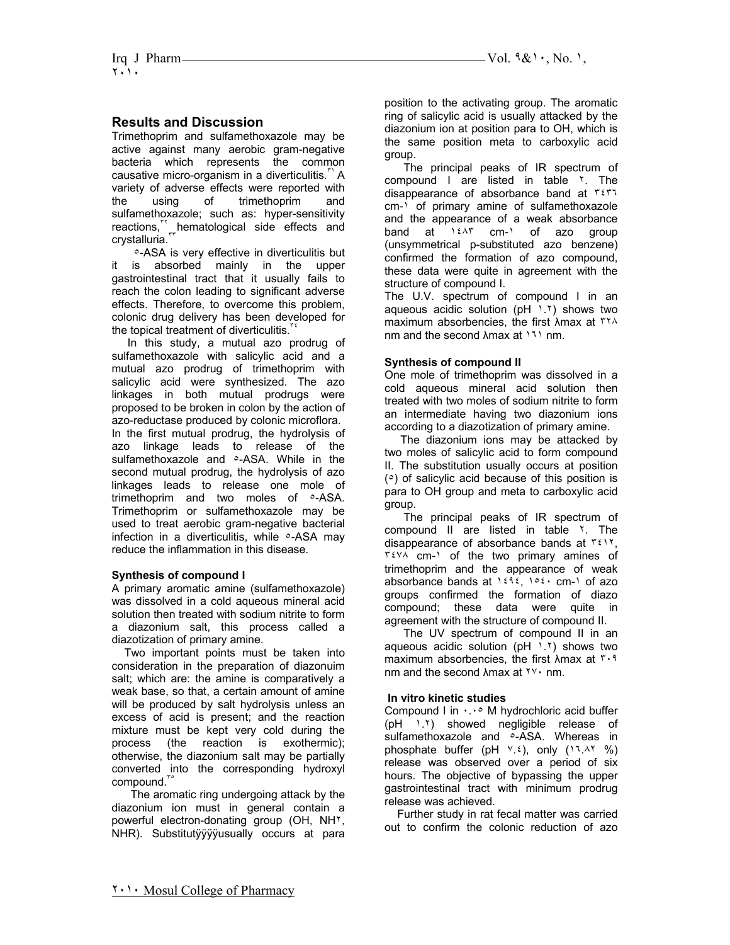## **Results and Discussion**

Trimethoprim and sulfamethoxazole may be active against many aerobic gram-negative bacteria which represents the common causative micro-organism in a diverticulitis.<sup>™</sup> A variety of adverse effects were reported with the using of trimethoprim and sulfamethoxazole; such as: hyper-sensitivity<br>reactions,<sup>\*\*</sup>\_\_hematological side effects and hematological side effects and crystalluria.

 ٥-ASA is very effective in diverticulitis but it is absorbed mainly in the upper gastrointestinal tract that it usually fails to reach the colon leading to significant adverse effects. Therefore, to overcome this problem, colonic drug delivery has been developed for the topical treatment of diverticulitis.

 In this study, a mutual azo prodrug of sulfamethoxazole with salicylic acid and a mutual azo prodrug of trimethoprim with salicylic acid were synthesized. The azo linkages in both mutual prodrugs were proposed to be broken in colon by the action of azo-reductase produced by colonic microflora. In the first mutual prodrug, the hydrolysis of azo linkage leads to release of the sulfamethoxazole and  $\circ$ -ASA. While in the second mutual prodrug, the hydrolysis of azo

linkages leads to release one mole of trimethoprim and two moles of  $\circ$ -ASA. Trimethoprim or sulfamethoxazole may be used to treat aerobic gram-negative bacterial infection in a diverticulitis, while °-ASA may reduce the inflammation in this disease.

### **Synthesis of compound I**

A primary aromatic amine (sulfamethoxazole) was dissolved in a cold aqueous mineral acid solution then treated with sodium nitrite to form a diazonium salt, this process called a diazotization of primary amine.

 Two important points must be taken into consideration in the preparation of diazonuim salt; which are: the amine is comparatively a weak base, so that, a certain amount of amine will be produced by salt hydrolysis unless an excess of acid is present; and the reaction mixture must be kept very cold during the process (the reaction is exothermic); otherwise, the diazonium salt may be partially converted into the corresponding hydroxyl compound.

 The aromatic ring undergoing attack by the diazonium ion must in general contain a powerful electron-donating group (OH, NH٢, NHR). Substitutÿÿÿÿusually occurs at para position to the activating group. The aromatic ring of salicylic acid is usually attacked by the diazonium ion at position para to OH, which is the same position meta to carboxylic acid group.

 The principal peaks of IR spectrum of compound I are listed in table <sup>Y</sup>. The disappearance of absorbance band at ٣٤٣٦ cm-١ of primary amine of sulfamethoxazole and the appearance of a weak absorbance band at ١٤٨٣ cm-١ of azo group (unsymmetrical p-substituted azo benzene) confirmed the formation of azo compound, these data were quite in agreement with the structure of compound I.

The U.V. spectrum of compound I in an aqueous acidic solution  $(pH \tcdot Y)$  shows two maximum absorbencies, the first λmax at ٣٢٨ nm and the second λmax at ١٦١ nm.

### **Synthesis of compound II**

One mole of trimethoprim was dissolved in a cold aqueous mineral acid solution then treated with two moles of sodium nitrite to form an intermediate having two diazonium ions according to a diazotization of primary amine.

 The diazonium ions may be attacked by two moles of salicylic acid to form compound II. The substitution usually occurs at position  $(°)$  of salicylic acid because of this position is para to OH group and meta to carboxylic acid group.

 The principal peaks of IR spectrum of compound II are listed in table ٢. The disappearance of absorbance bands at  $\mathbf{r} \in \mathbb{N}$ . ٣٤٧٨ cm-١ of the two primary amines of trimethoprim and the appearance of weak absorbance bands at  $1292$ ,  $1021$  cm-1 of azo groups confirmed the formation of diazo compound; these data were quite in agreement with the structure of compound II.

 The UV spectrum of compound II in an aqueous acidic solution  $(pH \tcdot Y)$  shows two maximum absorbencies, the first λmax at ٣٠٩ nm and the second λmax at ٢٧٠ nm.

### **In vitro kinetic studies**

Compound I in ٠.٠٥ M hydrochloric acid buffer (pH ١.٢) showed negligible release of sulfamethoxazole and <sup>5</sup>-ASA. Whereas in phosphate buffer (pH  $Y.2$ ), only  $(11.41 \%)$ release was observed over a period of six hours. The objective of bypassing the upper gastrointestinal tract with minimum prodrug release was achieved.

 Further study in rat fecal matter was carried out to confirm the colonic reduction of azo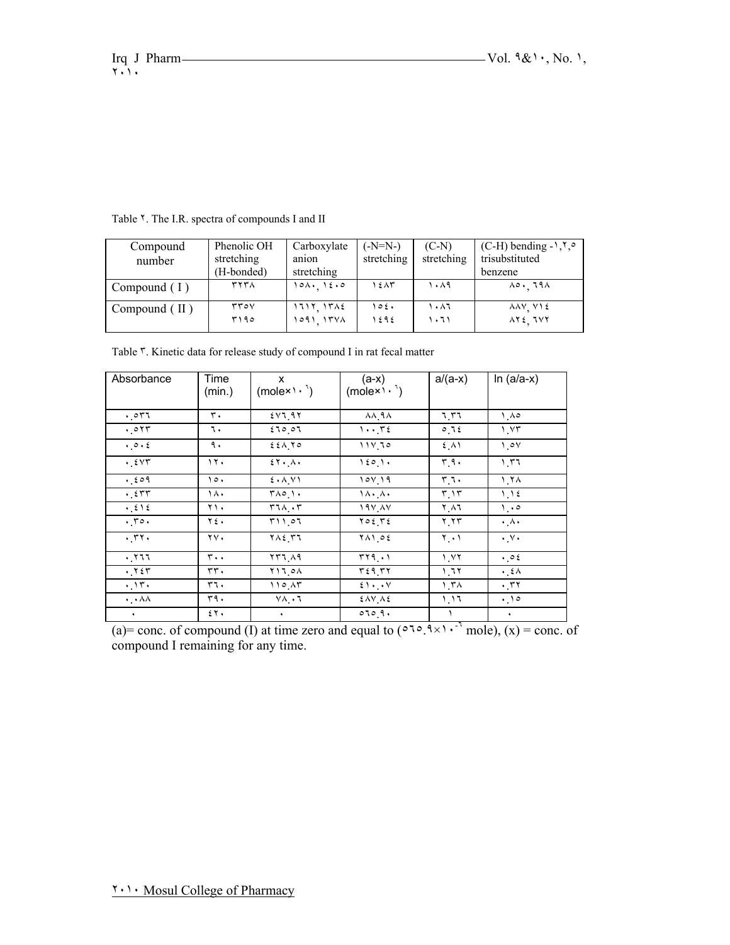| Compound        | Phenolic OH | Carboxylate          | (-N=N-)    | $(C-N)$    | $(C-H)$ bending - $\lambda$ , $\gamma$ , $\circ$ |
|-----------------|-------------|----------------------|------------|------------|--------------------------------------------------|
| number          | stretching  | anion                | stretching | stretching | trisubstituted                                   |
|                 | (H-bonded)  | stretching           |            |            | benzene                                          |
| Compound $(1)$  | ۳۲۳۸        | $10\Lambda$ , $12.0$ | ۱٤٨٣       | ۱۰۸۹       | 80. JAA                                          |
| Compound $(II)$ | rrov        | $1711$ $17.6$        | ۱۰ (       | ۱۰۸٦       | AAV VIE                                          |
|                 | ۳۱۹۰        | 1091 1578            | ١٤٩٤       | ۱۰٦۱       | $\lambda Y \epsilon$ $\lambda VY$                |

Table  $\lambda$ . The I.R. spectra of compounds I and II

| Absorbance                        | Time<br>(min.) | $\mathbf{x}$<br>$(molex) \cdot \cdot)$ | $(a-x)$<br>$(molex) \cdot \sqrt{2}$ | $a/(a-x)$                     | $ln (a/a-x)$                     |
|-----------------------------------|----------------|----------------------------------------|-------------------------------------|-------------------------------|----------------------------------|
| $.$ $\circ$ $\uparrow$ $\uparrow$ | ٣.             | 2V1.97                                 | $\lambda\lambda$ , ۹ $\lambda$      | 7 ۳٦                          | $\Lambda$                        |
| $.$ $\circ$ $\uparrow$ $\uparrow$ | ٦.             | 27007                                  | 1.72                                | 0.72                          | 1.55                             |
| $\cdot \circ \cdot \epsilon$      | ٩.             | 22170                                  | 111.70                              | $E_{\mu}$                     | 1.0V                             |
| $\cdot$ $257$                     | ۱۲.            | 25.1.                                  | 150.1.                              | $\mathbf{r} \cdot$            | 1.77                             |
| .509                              | 0٠ ١           | $5.1$ Y                                | 101.19                              | ۳.٦٠                          | 1.7 <sub>A</sub>                 |
| .557                              | ١٨٠            | $T\wedge o \wedge$                     | $\lambda \cdot \lambda \cdot$       | $\mathbf{r} \cdot \mathbf{r}$ | 1.12                             |
| $\cdot$ 212                       | ۲۱۰            | 571.77                                 | $19V$ $\Lambda V$                   | ۲٫۸٦                          | $\lambda \cdot \circ$            |
| .70.                              | ٢٤٠            | ۳۱۱ ۱۰                                 | $Y \circ \xi$ , $Y \xi$             | $Y_1Y_2$                      | $\cdot \wedge \cdot$             |
| .77.                              | ۲۷.            | $Y \wedge E$ <sub>r</sub>              | <b>YA1.02</b>                       | ۰۱. ۲                         | $\cdot$ . $\vee$ .               |
| .777                              | ٣.٠            | ۲۳٦ ٨٩                                 | TT9.1                               | 1.17                          | $\cdot \circ \epsilon$           |
| .727                              | rr.            | ۸۵ ۱۲ ۲                                | ۳٤٩ ٣٢                              | ۱.٦۲                          | $\cdot$ 2 $\wedge$               |
| .15.                              | ۳٦.            | ۸۲. ۱۱۰                                | $21 \cdot 1$                        | ۱.۳۸                          | $\cdot$ , $\mathsf{r}\mathsf{r}$ |
| $\cdot \cdot$ $\wedge \wedge$     | ۳۹.            | VA ・ 1                                 | <b>EAVAE</b>                        | ۱.۱٦                          | .10                              |
| $\bullet$                         | 5.7.           | $\bullet$                              | 0709.                               |                               | $\bullet$                        |

Table ٣. Kinetic data for release study of compound I in rat fecal matter

(a) = conc. of compound (I) at time zero and equal to ( $\circ \circ \circ \circ \circ \cdot \circ \cdot \circ \circ$  mole), (x) = conc. of compound I remaining for any time.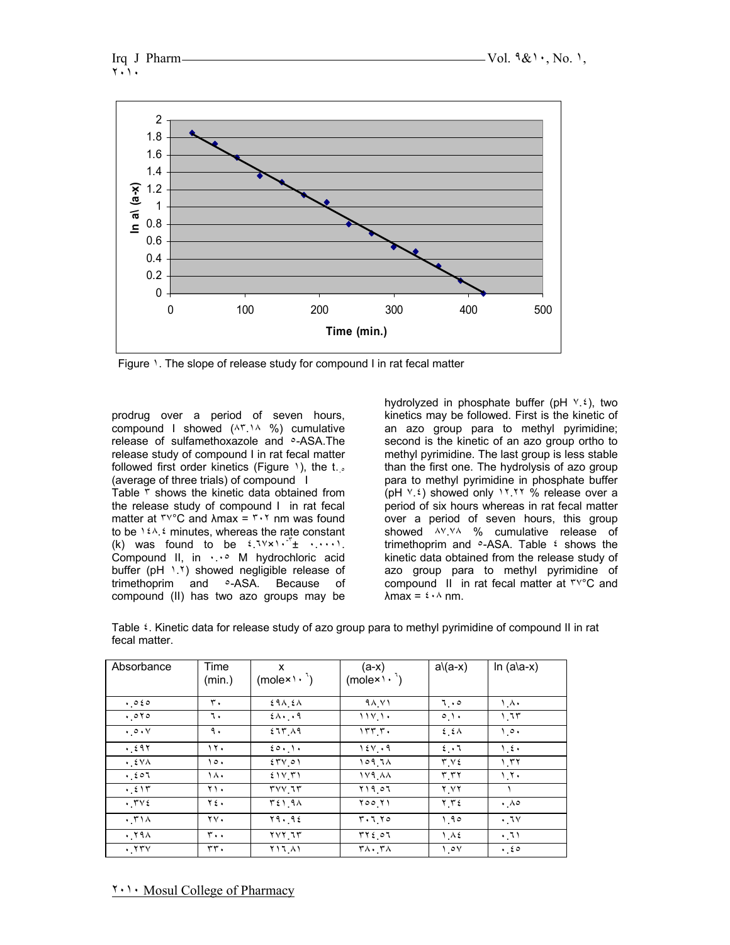

Figure 1. The slope of release study for compound I in rat fecal matter

prodrug over a period of seven hours, compound I showed (٨٣.١٨ %) cumulative release of sulfamethoxazole and ٥-ASA.The release study of compound I in rat fecal matter followed first order kinetics (Figure 1), the t. (average of three trials) of compound I

Table  $\bar{r}$  shows the kinetic data obtained from the release study of compound I in rat fecal matter at  $\tau v^{\circ}$ C and  $\lambda$ max =  $\tau \cdot \tau$  nm was found to be  $124.2$  minutes, whereas the rate constant (k) was found to be  $i \cdot \sqrt{x}$ ,  $i \cdot \sqrt{x}$  .... Compound II, in ٠.٠٥ M hydrochloric acid buffer (pH 1.1) showed negligible release of trimethoprim and  $\circ$ -ASA. Because of compound (II) has two azo groups may be

hydrolyzed in phosphate buffer (pH  $\forall$ .  $\forall$ , two kinetics may be followed. First is the kinetic of an azo group para to methyl pyrimidine; second is the kinetic of an azo group ortho to methyl pyrimidine. The last group is less stable than the first one. The hydrolysis of azo group para to methyl pyrimidine in phosphate buffer (pH ٧.٤) showed only ١٢.٢٢ % release over a period of six hours whereas in rat fecal matter over a period of seven hours, this group showed ٨٧.٧٨ % cumulative release of trimethoprim and  $\circ$ -ASA. Table  $\circ$  shows the kinetic data obtained from the release study of azo group para to methyl pyrimidine of compound II in rat fecal matter at ٣٧°C and λmax = ٤٠٨ nm.

Table ٤. Kinetic data for release study of azo group para to methyl pyrimidine of compound II in rat fecal matter.

| Absorbance               | Time<br>(min.) | x<br>$(molex) \cdot \cdot)$            | $(a-x)$<br>$(molex) \cdot \sqrt{2}$ | $a(a-x)$            | $\ln$ (a\a-x)              |
|--------------------------|----------------|----------------------------------------|-------------------------------------|---------------------|----------------------------|
| .060                     | ٣.             | 291.51                                 | 98.YY                               | $7 \cdot 0$         | ۸۸۰.                       |
| .070                     | ٦.             | $2\lambda \cdot 19$                    | $111$ .                             | $\circ \wedge$      | 1.75                       |
| $\cdot \circ \cdot \vee$ | ٩.             | 277A9                                  | ۱۳۳.۳۰                              | 2.5 <sub>0</sub>    | ۰ ۱.۰                      |
| .597                     | ۱۲۰            | $\{0, 1\}$                             | 15V.9                               | 2.1                 | 1.5.                       |
| $\cdot$ 2 Y A            | ۰۰ (           | $ETV_0$                                | ۱۵۹. ۱۸                             | T V E               | ۲۲ ۱                       |
| .507                     | ١٨٠            | $51V$ $T1$                             | 1 V 9 A A                           | $T_{\cdot}$ $T$ $T$ | 1.1.                       |
| .515                     | ۲۱۰            | $\mathbf{r}$ $\mathbf{v}$ $\mathbf{v}$ | 71907                               | $Y_{\cdot}YY$       |                            |
| .742                     | ٢٤٠            | 321.91                                 | YOO <sub>1</sub>                    | ٢.٣٤                | $\cdot \wedge \circ$       |
| .711                     | ۲V٠            | Y9.92                                  | $T \cdot 7.70$                      | 1.90                | .7v                        |
| .79 <sub>A</sub>         | $\mathbf{r}$ . | ۲۷۲ ٦٣                                 | ۳۲٤ ٥٦                              | $\Lambda$           | .71                        |
| . 774                    | rr.            | ۸۱ تا ۲                                | ۳۸۰ ۳۸                              | $\sim$ 0 $\vee$     | $\cdot$ $\epsilon$ $\circ$ |

٢٠١٠ Mosul College of Pharmacy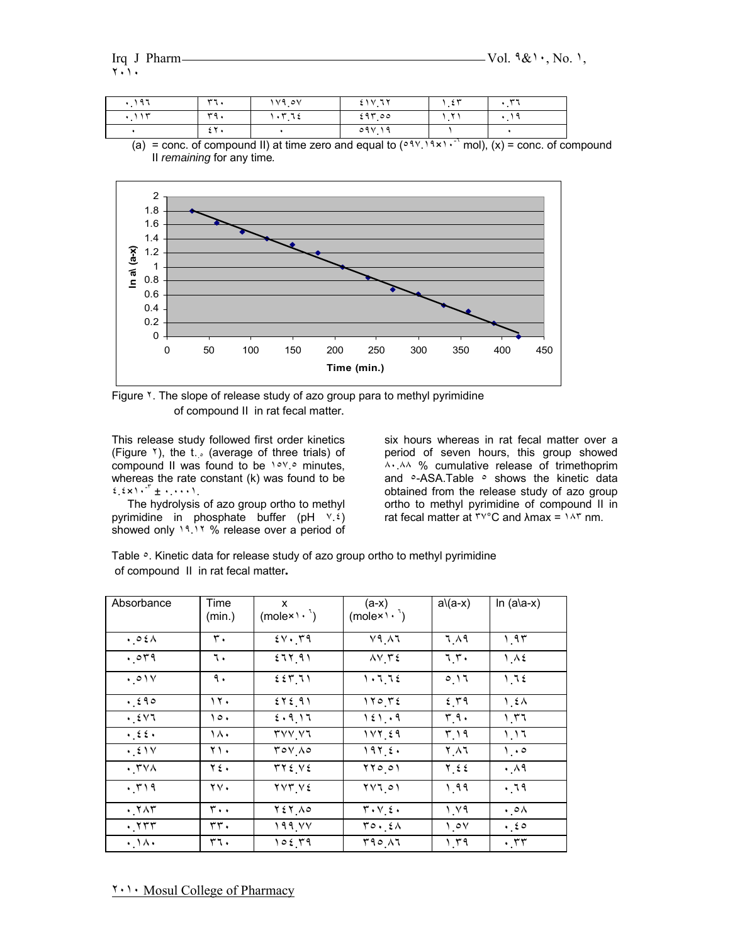| <b>197</b> | ⊶ ⊶           | 1140V     | 51V.7Y           | $\epsilon$ $\tau$ | یں سے |
|------------|---------------|-----------|------------------|-------------------|-------|
| سرم        | ٣۹            | ا س<br>મદ | 29700            | $\mathbf{v}$      |       |
|            | سه د<br>z 1 + |           | $\circ$ 9 $\vee$ |                   |       |

(a) = conc. of compound II) at time zero and equal to  $(0.919 \times 1.007 \times 1.007)$ , (x) = conc. of compound II *remaining* for any time*.* 



Figure <sup>Y</sup>. The slope of release study of azo group para to methyl pyrimidine of compound II in rat fecal matter.

This release study followed first order kinetics (Figure  $\lambda$ ), the t... (average of three trials) of compound II was found to be ١٥٧.٥ minutes, whereas the rate constant (k) was found to be ٤.٤×١٠-<sup>٣</sup> ± ٠.٠٠٠١.

 The hydrolysis of azo group ortho to methyl pyrimidine in phosphate buffer (pH ٧.٤) showed only ١٩.١٢ % release over a period of six hours whereas in rat fecal matter over a period of seven hours, this group showed ٨٠.٨٨ % cumulative release of trimethoprim and  $\circ$ -ASA.Table  $\circ$  shows the kinetic data obtained from the release study of azo group ortho to methyl pyrimidine of compound II in rat fecal matter at  $\mu$ <sup>o</sup>C and  $\lambda$ max =  $14\pi$  nm.

Table  $\circ$ . Kinetic data for release study of azo group ortho to methyl pyrimidine of compound II in rat fecal matter**.**

| Absorbance                 | Time<br>(min.) | $\mathsf{x}$<br>$(molex) \cdot \cdot)$          | $(a-x)$<br>$(molex \rightarrow w)$         | $a(a-x)$                         | $ln (a\$ a-x $)$                 |
|----------------------------|----------------|-------------------------------------------------|--------------------------------------------|----------------------------------|----------------------------------|
| .05 <sub>A</sub>           | ٣.             | $2V \cdot 79$                                   | $V9$ $A7$                                  | $7^{\circ}$ $\wedge$ $9^{\circ}$ | 1.95                             |
| .049                       | ٦.             | 271.91                                          | $\Delta V$ $\Upsilon$ 2                    | 7.7.                             | 1.12                             |
| .01V                       | ٩.             | 2257.71                                         | 1.772                                      | 0.17                             | 1.72                             |
| .590                       | ۱۲۰            | 545.91                                          | 170.72                                     | 2.79                             | 1.5A                             |
| $\cdot$ $5\sqrt{7}$        | $\circ$ .      | 2.9.17                                          | 151.9                                      | $r_1$ .                          | 1.77                             |
| $\cdot$ 22.                | ۱۸۰            | <b>TVVV7</b>                                    | 117.59                                     | $r \wedge q$                     | 1.17                             |
| $\cdot$ { $\lambda$ $\vee$ | ۲۱۰            | $\mathbf{r} \circ \mathbf{v} \wedge \mathbf{v}$ | 197.5.                                     | ۲٫۸٦                             | $\cdot \cdot$                    |
| $\cdot$ , tva              | ٢٤٠            | 772.48                                          | YY00)                                      | Y, E                             | $\cdot \cdot$ $\wedge$ 9         |
| .719                       | ۲۷.            | YVY VE                                          | $YVI$ $0)$                                 | 1.99                             | .79                              |
| .7AT                       | ٣.,            | $Y \Sigma Y \wedge o$                           | $T \cdot V$ { $\cdot$                      | 1.19                             | $\cdot \circ \wedge$             |
| .777                       | ٣٣.            | 199. YV                                         | $\mathbf{y} \circ \cdot \mathbf{z} \wedge$ | $\frac{1}{2}$                    | $\cdot$ $\epsilon$ $\circ$       |
| .1A.                       | ۳٦.            | 102.79                                          | 190M                                       | 1.59                             | $\cdot$ , $\mathsf{r}\mathsf{r}$ |

٢٠١٠ Mosul College of Pharmacy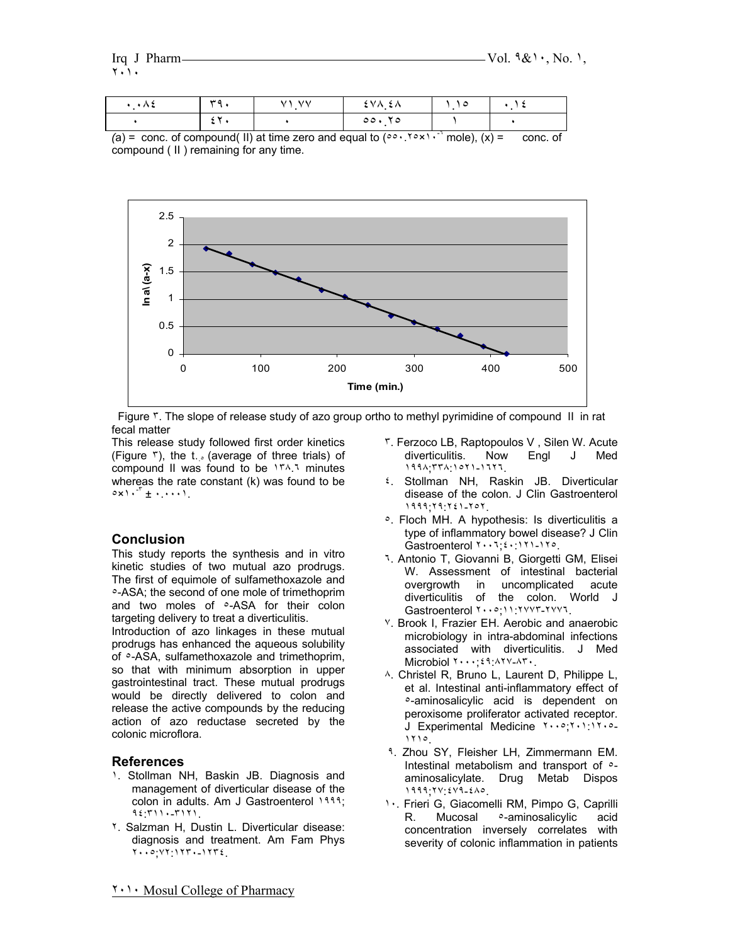| ・・ハこ<br>$\overline{\phantom{a}}$ | ہ س | $\lambda$ | ' V A<br><b>2ハ</b> |  |
|----------------------------------|-----|-----------|--------------------|--|
|                                  |     |           | 00.70              |  |

 $(a) = \text{conc. of compound (II) at time zero and equal to } (20 \cdot 10 \cdot 10^{-10})$ ,  $(x) = \text{conc. of$ compound ( II ) remaining for any time.



Figure ٣. The slope of release study of azo group ortho to methyl pyrimidine of compound II in rat fecal matter

This release study followed first order kinetics (Figure  $\sqrt{r}$ ), the t.. (average of three trials) of compound II was found to be ١٣٨.٦ minutes whereas the rate constant (k) was found to be ٥×١٠-<sup>٣</sup> ± ٠.٠٠٠١.

# **Conclusion**

This study reports the synthesis and in vitro kinetic studies of two mutual azo prodrugs. The first of equimole of sulfamethoxazole and ٥-ASA; the second of one mole of trimethoprim and two moles of  $\circ$ -ASA for their colon targeting delivery to treat a diverticulitis.

Introduction of azo linkages in these mutual prodrugs has enhanced the aqueous solubility of  $\circ$ -ASA, sulfamethoxazole and trimethoprim, so that with minimum absorption in upper gastrointestinal tract. These mutual prodrugs would be directly delivered to colon and release the active compounds by the reducing action of azo reductase secreted by the colonic microflora.

## **References**

- ١. Stollman NH, Baskin JB. Diagnosis and management of diverticular disease of the colon in adults. Am J Gastroenterol ١٩٩٩; ٩٤:٣١١٠-٣١٢١.
- ٢. Salzman H, Dustin L. Diverticular disease: diagnosis and treatment. Am Fam Phys ٢٠٠٥;٧٢:١٢٣٠-١٢٣٤.
- ٣. Ferzoco LB, Raptopoulos V , Silen W. Acute diverticulitis. Now Engl J Med ١٩٩٨;٣٣٨:١٥٢١-١٦٢٦.
- ٤. Stollman NH, Raskin JB. Diverticular disease of the colon. J Clin Gastroenterol ١٩٩٩;٢٩:٢٤١-٢٥٢.
- ٥. Floch MH. A hypothesis: Is diverticulitis a type of inflammatory bowel disease? J Clin Gastroenterol ٢٠٠٦; ٤٠: ١٢١-١٢٥.
- ٦. Antonio T, Giovanni B, Giorgetti GM, Elisei W. Assessment of intestinal bacterial overgrowth in uncomplicated acute diverticulitis of the colon. World J Gastroenterol ٢٠٠٥;١١:٢٧٧٣-٢٧٧٦.
- ٧. Brook I, Frazier EH. Aerobic and anaerobic microbiology in intra-abdominal infections associated with diverticulitis. J Med Microbiol ٢٠٠٠;٤٩:٨٢٧-٨٣٠.
- ٨. Christel R, Bruno L, Laurent D, Philippe L, et al. Intestinal anti-inflammatory effect of ٥-aminosalicylic acid is dependent on peroxisome proliferator activated receptor. J Experimental Medicine ٢٠٠٥;٢٠١:١٢٠٥- ١٢١٥.
- ٩. Zhou SY, Fleisher LH, Zimmermann EM. Intestinal metabolism and transport of  $\circ$ aminosalicylate. Drug Metab Dispos ١٩٩٩;٢٧:٤٧٩-٤٨٥.
- ١٠. Frieri G, Giacomelli RM, Pimpo G, Caprilli R. Mucosal <sup>2</sup>-aminosalicylic acid concentration inversely correlates with severity of colonic inflammation in patients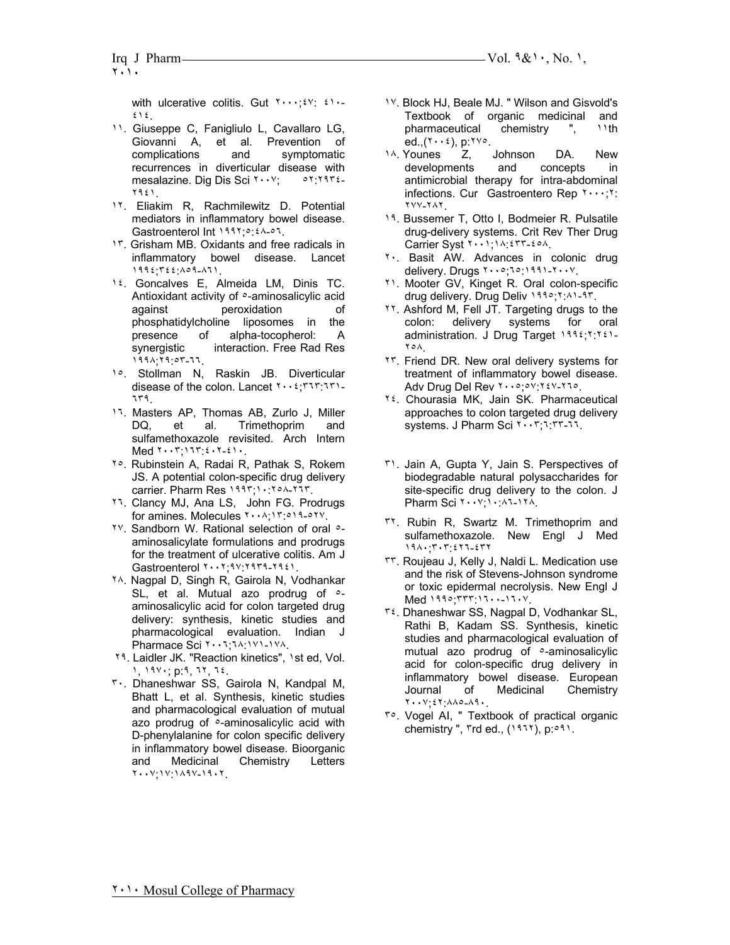with ulcerative colitis. Gut ٢٠٠٠;٤٧: ٤١٠- ٤١٤.

- ١١. Giuseppe C, Fanigliulo L, Cavallaro LG, Giovanni A, et al. Prevention of complications and symptomatic recurrences in diverticular disease with mesalazine. Dig Dis Sci ٢٠٠٧; 0٢:٢٩٣٤-٢٩٤١.
- ١٢. Eliakim R, Rachmilewitz D. Potential mediators in inflammatory bowel disease. Gastroenterol Int ١٩٩٢; 0: ٤٨-٥٦.
- ١٣. Grisham MB. Oxidants and free radicals in inflammatory bowel disease. Lancet ١٩٩٤;٣٤٤:٨٥٩-٨٦١.
- ١٤. Goncalves E, Almeida LM, Dinis TC. Antioxidant activity of  $\circ$ -aminosalicylic acid against peroxidation of phosphatidylcholine liposomes in the presence of alpha-tocopherol: A synergistic interaction. Free Rad Res ١٩٩٨;٢٩:٥٣-٦٦.
- ١٥. Stollman N, Raskin JB. Diverticular disease of the colon. Lancet ٢٠٠٤; ٣٦٣: ٦٣١-٦٣٩.
- ١٦. Masters AP, Thomas AB, Zurlo J, Miller DQ, et al. Trimethoprim and sulfamethoxazole revisited. Arch Intern Med ٢٠٠٣;١٦٣:٤٠٢-٤١٠.
- ٢٥. Rubinstein A, Radai R, Pathak S, Rokem JS. A potential colon-specific drug delivery carrier. Pharm Res ١٩٩٣;١٠:٢٥٨-٢٦٣.
- ٢٦. Clancy MJ, Ana LS, John FG. Prodrugs for amines. Molecules ٢٠٠٨;١٣:٥١٩-٥٢٧.
- ٢٧. Sandborn W. Rational selection of oral ٥ aminosalicylate formulations and prodrugs for the treatment of ulcerative colitis. Am J Gastroenterol ٢٠٠٢;٩٧:٢٩٣٩-٢٩٤١.
- ٢٨. Nagpal D, Singh R, Gairola N, Vodhankar SL, et al. Mutual azo prodrug of  $\circ$ aminosalicylic acid for colon targeted drug delivery: synthesis, kinetic studies and pharmacological evaluation. Indian J Pharmace Sci ٢٠٠٦;٦٨:١٧١-١٧٨.
- ٢٩. Laidler JK. "Reaction kinetics", ١st ed, Vol. ١, ١٩٧٠; p:٩, ٦٢, ٦٤.
- ٣٠. Dhaneshwar SS, Gairola N, Kandpal M, Bhatt L, et al. Synthesis, kinetic studies and pharmacological evaluation of mutual azo prodrug of  $\circ$ -aminosalicylic acid with D-phenylalanine for colon specific delivery in inflammatory bowel disease. Bioorganic and Medicinal Chemistry Letters ٢٠٠٧;١٧:١٨٩٧-١٩٠٢.
- ١٧. Block HJ, Beale MJ. " Wilson and Gisvold's Textbook of organic medicinal and pharmaceutical chemistry ", 'th ed., $(Y \cdot \cdot Y)$ , p: $Y \circ$ .
- ١٨. Younes Z, Johnson DA. New developments and concepts in antimicrobial therapy for intra-abdominal infections. Cur Gastroentero Rep ٢٠٠٠;٢: ٢٧٧-٢٨٢.
- ١٩. Bussemer T, Otto I, Bodmeier R. Pulsatile drug-delivery systems. Crit Rev Ther Drug Carrier Syst ٢٠٠١;١٨:٤٣٣-٤٥٨.
- ٢٠. Basit AW. Advances in colonic drug delivery. Drugs ٢٠٠٥;٦٥:١٩٩١-٢٠٠٧.
- ٢١. Mooter GV, Kinget R. Oral colon-specific drug delivery. Drug Deliv ١٩٩٥;٢:٨١-٩٣.
- ٢٢. Ashford M, Fell JT. Targeting drugs to the colon: delivery systems for oral administration. J Drug Target ١٩٩٤; ٢: ٢٤١-٢٥٨.
- ٢٣. Friend DR. New oral delivery systems for treatment of inflammatory bowel disease. Adv Drug Del Rev ٢٠٠٥;٥٧:٢٤٧-٢٦٥.
- ٢٤. Chourasia MK, Jain SK. Pharmaceutical approaches to colon targeted drug delivery systems. J Pharm Sci ٢٠٠٣;٦:٣٣-٦٦.
- ٣١. Jain A, Gupta Y, Jain S. Perspectives of biodegradable natural polysaccharides for site-specific drug delivery to the colon. J Pharm Sci ٢٠٠٧;١٠:٨٦-١٢٨.
- ٣٢. Rubin R, Swartz M. Trimethoprim and sulfamethoxazole. New Engl J Med ١٩٨٠;٣٠٣:٤٢٦-٤٣٢
- ٣٣. Roujeau J, Kelly J, Naldi L. Medication use and the risk of Stevens-Johnson syndrome or toxic epidermal necrolysis. New Engl J Med ١٩٩٥;٣٣٣:١٦٠٠-١٦٠٧.
- ٣٤. Dhaneshwar SS, Nagpal D, Vodhankar SL, Rathi B, Kadam SS. Synthesis, kinetic studies and pharmacological evaluation of mutual azo prodrug of ٥-aminosalicylic acid for colon-specific drug delivery in inflammatory bowel disease. European Journal of Medicinal Chemistry ٢٠٠٧;٤٢:٨٨٥-٨٩٠.
- ٣٥. Vogel AI, " Textbook of practical organic chemistry ", ٣rd ed., (١٩٦٢), p:٥٩١.